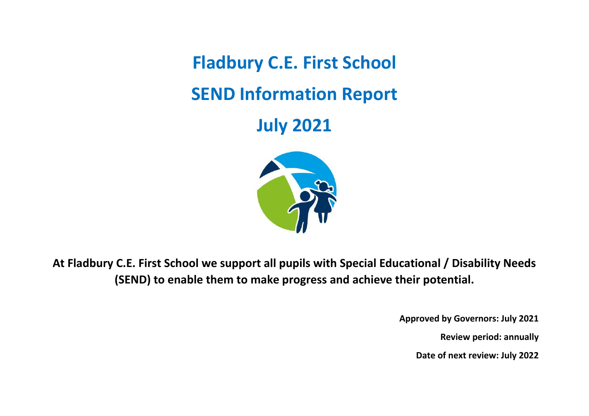**Fladbury C.E. First School SEND Information Report**

**July 2021**



**At Fladbury C.E. First School we support all pupils with Special Educational / Disability Needs (SEND) to enable them to make progress and achieve their potential.** 

**Approved by Governors: July 2021**

**Review period: annually**

**Date of next review: July 2022**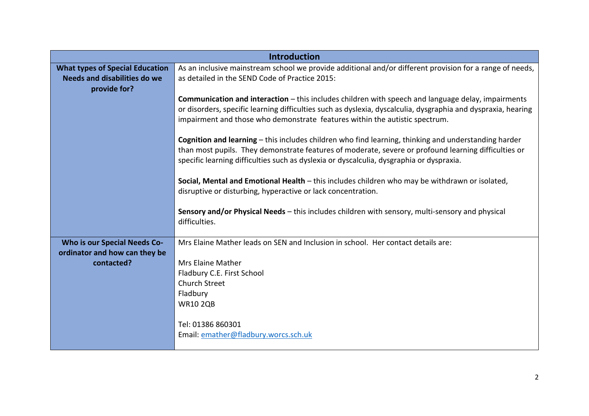|                                                                                        | <b>Introduction</b>                                                                                                                                                                                                                                                                                       |
|----------------------------------------------------------------------------------------|-----------------------------------------------------------------------------------------------------------------------------------------------------------------------------------------------------------------------------------------------------------------------------------------------------------|
| <b>What types of Special Education</b><br>Needs and disabilities do we<br>provide for? | As an inclusive mainstream school we provide additional and/or different provision for a range of needs,<br>as detailed in the SEND Code of Practice 2015:                                                                                                                                                |
|                                                                                        | <b>Communication and interaction</b> – this includes children with speech and language delay, impairments<br>or disorders, specific learning difficulties such as dyslexia, dyscalculia, dysgraphia and dyspraxia, hearing<br>impairment and those who demonstrate features within the autistic spectrum. |
|                                                                                        | Cognition and learning – this includes children who find learning, thinking and understanding harder<br>than most pupils. They demonstrate features of moderate, severe or profound learning difficulties or<br>specific learning difficulties such as dyslexia or dyscalculia, dysgraphia or dyspraxia.  |
|                                                                                        | Social, Mental and Emotional Health - this includes children who may be withdrawn or isolated,<br>disruptive or disturbing, hyperactive or lack concentration.                                                                                                                                            |
|                                                                                        | Sensory and/or Physical Needs - this includes children with sensory, multi-sensory and physical<br>difficulties.                                                                                                                                                                                          |
| <b>Who is our Special Needs Co-</b>                                                    | Mrs Elaine Mather leads on SEN and Inclusion in school. Her contact details are:                                                                                                                                                                                                                          |
| ordinator and how can they be                                                          |                                                                                                                                                                                                                                                                                                           |
| contacted?                                                                             | <b>Mrs Elaine Mather</b><br>Fladbury C.E. First School                                                                                                                                                                                                                                                    |
|                                                                                        | Church Street                                                                                                                                                                                                                                                                                             |
|                                                                                        | Fladbury                                                                                                                                                                                                                                                                                                  |
|                                                                                        | <b>WR10 2QB</b>                                                                                                                                                                                                                                                                                           |
|                                                                                        | Tel: 01386 860301<br>Email: emather@fladbury.worcs.sch.uk                                                                                                                                                                                                                                                 |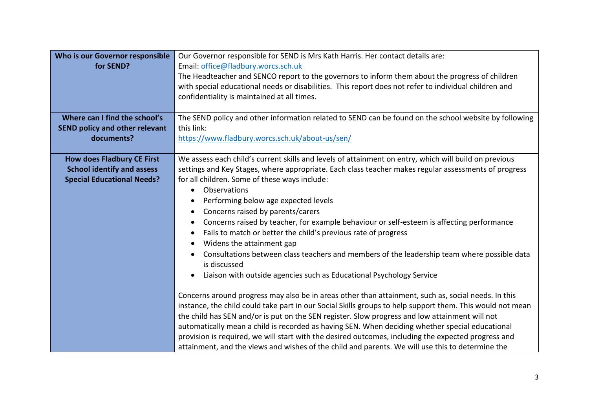| Who is our Governor responsible<br>for SEND?                                                                | Our Governor responsible for SEND is Mrs Kath Harris. Her contact details are:<br>Email: office@fladbury.worcs.sch.uk<br>The Headteacher and SENCO report to the governors to inform them about the progress of children<br>with special educational needs or disabilities. This report does not refer to individual children and<br>confidentiality is maintained at all times.                                                                                                                                                                                                                                                                                                                                                                                                                                                                                                                                                                                                                                                                                                                                                                                                                                                                                                                                                                                                                |
|-------------------------------------------------------------------------------------------------------------|-------------------------------------------------------------------------------------------------------------------------------------------------------------------------------------------------------------------------------------------------------------------------------------------------------------------------------------------------------------------------------------------------------------------------------------------------------------------------------------------------------------------------------------------------------------------------------------------------------------------------------------------------------------------------------------------------------------------------------------------------------------------------------------------------------------------------------------------------------------------------------------------------------------------------------------------------------------------------------------------------------------------------------------------------------------------------------------------------------------------------------------------------------------------------------------------------------------------------------------------------------------------------------------------------------------------------------------------------------------------------------------------------|
| Where can I find the school's<br><b>SEND policy and other relevant</b><br>documents?                        | The SEND policy and other information related to SEND can be found on the school website by following<br>this link:<br>https://www.fladbury.worcs.sch.uk/about-us/sen/                                                                                                                                                                                                                                                                                                                                                                                                                                                                                                                                                                                                                                                                                                                                                                                                                                                                                                                                                                                                                                                                                                                                                                                                                          |
| <b>How does Fladbury CE First</b><br><b>School identify and assess</b><br><b>Special Educational Needs?</b> | We assess each child's current skills and levels of attainment on entry, which will build on previous<br>settings and Key Stages, where appropriate. Each class teacher makes regular assessments of progress<br>for all children. Some of these ways include:<br>Observations<br>Performing below age expected levels<br>Concerns raised by parents/carers<br>Concerns raised by teacher, for example behaviour or self-esteem is affecting performance<br>Fails to match or better the child's previous rate of progress<br>Widens the attainment gap<br>Consultations between class teachers and members of the leadership team where possible data<br>is discussed<br>Liaison with outside agencies such as Educational Psychology Service<br>$\bullet$<br>Concerns around progress may also be in areas other than attainment, such as, social needs. In this<br>instance, the child could take part in our Social Skills groups to help support them. This would not mean<br>the child has SEN and/or is put on the SEN register. Slow progress and low attainment will not<br>automatically mean a child is recorded as having SEN. When deciding whether special educational<br>provision is required, we will start with the desired outcomes, including the expected progress and<br>attainment, and the views and wishes of the child and parents. We will use this to determine the |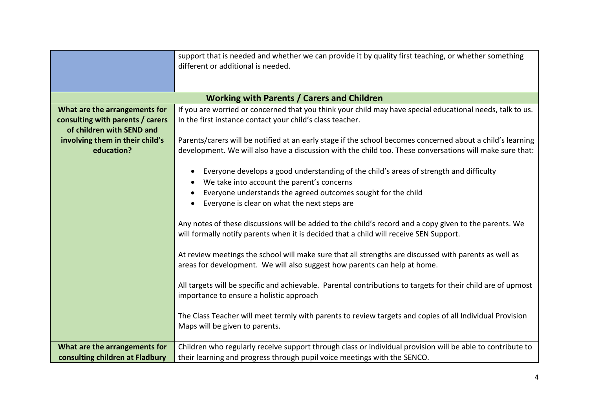|                                                                                                | support that is needed and whether we can provide it by quality first teaching, or whether something<br>different or additional is needed.                                                                             |
|------------------------------------------------------------------------------------------------|------------------------------------------------------------------------------------------------------------------------------------------------------------------------------------------------------------------------|
|                                                                                                | <b>Working with Parents / Carers and Children</b>                                                                                                                                                                      |
| What are the arrangements for<br>consulting with parents / carers<br>of children with SEND and | If you are worried or concerned that you think your child may have special educational needs, talk to us.<br>In the first instance contact your child's class teacher.                                                 |
| involving them in their child's<br>education?                                                  | Parents/carers will be notified at an early stage if the school becomes concerned about a child's learning<br>development. We will also have a discussion with the child too. These conversations will make sure that: |
|                                                                                                | Everyone develops a good understanding of the child's areas of strength and difficulty<br>$\bullet$<br>We take into account the parent's concerns<br>$\bullet$                                                         |
|                                                                                                | Everyone understands the agreed outcomes sought for the child<br>$\bullet$<br>Everyone is clear on what the next steps are                                                                                             |
|                                                                                                | Any notes of these discussions will be added to the child's record and a copy given to the parents. We<br>will formally notify parents when it is decided that a child will receive SEN Support.                       |
|                                                                                                | At review meetings the school will make sure that all strengths are discussed with parents as well as<br>areas for development. We will also suggest how parents can help at home.                                     |
|                                                                                                | All targets will be specific and achievable. Parental contributions to targets for their child are of upmost<br>importance to ensure a holistic approach                                                               |
|                                                                                                | The Class Teacher will meet termly with parents to review targets and copies of all Individual Provision<br>Maps will be given to parents.                                                                             |
| What are the arrangements for<br>consulting children at Fladbury                               | Children who regularly receive support through class or individual provision will be able to contribute to<br>their learning and progress through pupil voice meetings with the SENCO.                                 |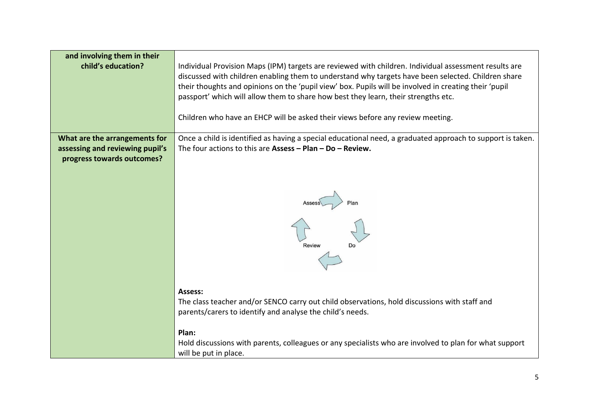| and involving them in their<br>child's education?             | Individual Provision Maps (IPM) targets are reviewed with children. Individual assessment results are<br>discussed with children enabling them to understand why targets have been selected. Children share<br>their thoughts and opinions on the 'pupil view' box. Pupils will be involved in creating their 'pupil<br>passport' which will allow them to share how best they learn, their strengths etc.<br>Children who have an EHCP will be asked their views before any review meeting. |
|---------------------------------------------------------------|----------------------------------------------------------------------------------------------------------------------------------------------------------------------------------------------------------------------------------------------------------------------------------------------------------------------------------------------------------------------------------------------------------------------------------------------------------------------------------------------|
| What are the arrangements for                                 | Once a child is identified as having a special educational need, a graduated approach to support is taken.                                                                                                                                                                                                                                                                                                                                                                                   |
| assessing and reviewing pupil's<br>progress towards outcomes? | The four actions to this are Assess $-$ Plan $-$ Do $-$ Review.                                                                                                                                                                                                                                                                                                                                                                                                                              |
|                                                               | Review                                                                                                                                                                                                                                                                                                                                                                                                                                                                                       |
|                                                               | Assess:                                                                                                                                                                                                                                                                                                                                                                                                                                                                                      |
|                                                               | The class teacher and/or SENCO carry out child observations, hold discussions with staff and<br>parents/carers to identify and analyse the child's needs.                                                                                                                                                                                                                                                                                                                                    |
|                                                               |                                                                                                                                                                                                                                                                                                                                                                                                                                                                                              |
|                                                               | Plan:                                                                                                                                                                                                                                                                                                                                                                                                                                                                                        |
|                                                               | Hold discussions with parents, colleagues or any specialists who are involved to plan for what support<br>will be put in place.                                                                                                                                                                                                                                                                                                                                                              |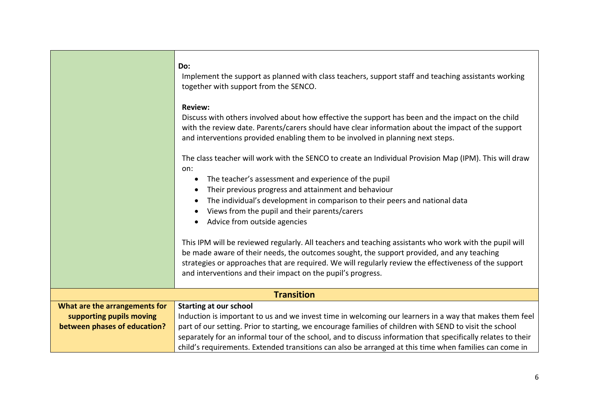|                               | Do:<br>Implement the support as planned with class teachers, support staff and teaching assistants working<br>together with support from the SENCO.<br><b>Review:</b><br>Discuss with others involved about how effective the support has been and the impact on the child<br>with the review date. Parents/carers should have clear information about the impact of the support |
|-------------------------------|----------------------------------------------------------------------------------------------------------------------------------------------------------------------------------------------------------------------------------------------------------------------------------------------------------------------------------------------------------------------------------|
|                               | and interventions provided enabling them to be involved in planning next steps.                                                                                                                                                                                                                                                                                                  |
|                               |                                                                                                                                                                                                                                                                                                                                                                                  |
|                               | The class teacher will work with the SENCO to create an Individual Provision Map (IPM). This will draw<br>on:                                                                                                                                                                                                                                                                    |
|                               | The teacher's assessment and experience of the pupil<br>$\bullet$                                                                                                                                                                                                                                                                                                                |
|                               | Their previous progress and attainment and behaviour                                                                                                                                                                                                                                                                                                                             |
|                               | The individual's development in comparison to their peers and national data                                                                                                                                                                                                                                                                                                      |
|                               | Views from the pupil and their parents/carers                                                                                                                                                                                                                                                                                                                                    |
|                               | Advice from outside agencies                                                                                                                                                                                                                                                                                                                                                     |
|                               |                                                                                                                                                                                                                                                                                                                                                                                  |
|                               | This IPM will be reviewed regularly. All teachers and teaching assistants who work with the pupil will                                                                                                                                                                                                                                                                           |
|                               | be made aware of their needs, the outcomes sought, the support provided, and any teaching                                                                                                                                                                                                                                                                                        |
|                               | strategies or approaches that are required. We will regularly review the effectiveness of the support                                                                                                                                                                                                                                                                            |
|                               | and interventions and their impact on the pupil's progress.                                                                                                                                                                                                                                                                                                                      |
|                               | <b>Transition</b>                                                                                                                                                                                                                                                                                                                                                                |
| What are the arrangements for | <b>Starting at our school</b>                                                                                                                                                                                                                                                                                                                                                    |
| supporting pupils moving      | Induction is important to us and we invest time in welcoming our learners in a way that makes them feel                                                                                                                                                                                                                                                                          |
| between phases of education?  | part of our setting. Prior to starting, we encourage families of children with SEND to visit the school                                                                                                                                                                                                                                                                          |
|                               | separately for an informal tour of the school, and to discuss information that specifically relates to their                                                                                                                                                                                                                                                                     |
|                               | child's requirements. Extended transitions can also be arranged at this time when families can come in                                                                                                                                                                                                                                                                           |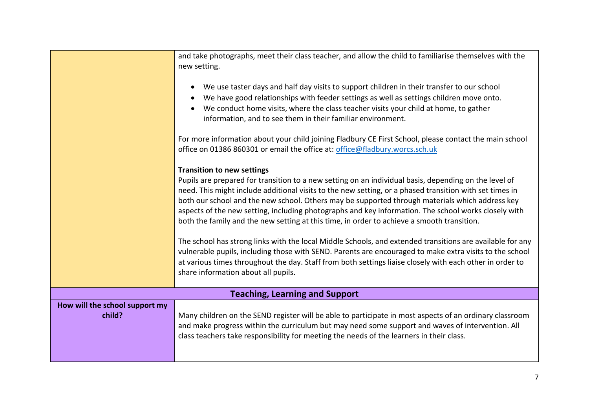|                                | and take photographs, meet their class teacher, and allow the child to familiarise themselves with the    |
|--------------------------------|-----------------------------------------------------------------------------------------------------------|
|                                | new setting.                                                                                              |
|                                | We use taster days and half day visits to support children in their transfer to our school                |
|                                | We have good relationships with feeder settings as well as settings children move onto.                   |
|                                | We conduct home visits, where the class teacher visits your child at home, to gather                      |
|                                | information, and to see them in their familiar environment.                                               |
|                                |                                                                                                           |
|                                | For more information about your child joining Fladbury CE First School, please contact the main school    |
|                                | office on 01386 860301 or email the office at: office@fladbury.worcs.sch.uk                               |
|                                |                                                                                                           |
|                                | <b>Transition to new settings</b>                                                                         |
|                                | Pupils are prepared for transition to a new setting on an individual basis, depending on the level of     |
|                                | need. This might include additional visits to the new setting, or a phased transition with set times in   |
|                                | both our school and the new school. Others may be supported through materials which address key           |
|                                | aspects of the new setting, including photographs and key information. The school works closely with      |
|                                | both the family and the new setting at this time, in order to achieve a smooth transition.                |
|                                |                                                                                                           |
|                                | The school has strong links with the local Middle Schools, and extended transitions are available for any |
|                                | vulnerable pupils, including those with SEND. Parents are encouraged to make extra visits to the school   |
|                                | at various times throughout the day. Staff from both settings liaise closely with each other in order to  |
|                                | share information about all pupils.                                                                       |
|                                |                                                                                                           |
|                                | <b>Teaching, Learning and Support</b>                                                                     |
| How will the school support my |                                                                                                           |
| child?                         | Many children on the SEND register will be able to participate in most aspects of an ordinary classroom   |
|                                | and make progress within the curriculum but may need some support and waves of intervention. All          |
|                                | class teachers take responsibility for meeting the needs of the learners in their class.                  |
|                                |                                                                                                           |
|                                |                                                                                                           |
|                                |                                                                                                           |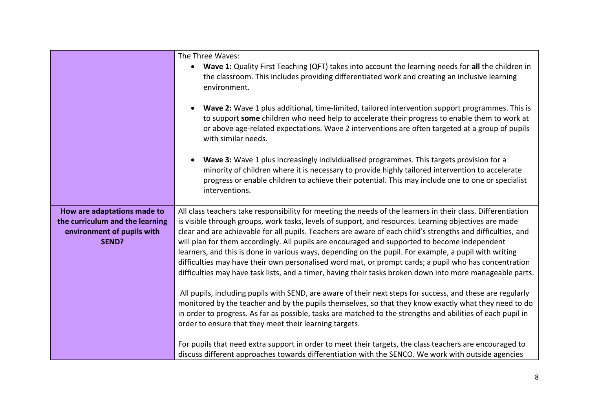|                                 | The Three Waves:<br>Wave 1: Quality First Teaching (QFT) takes into account the learning needs for all the children in<br>$\bullet$<br>the classroom. This includes providing differentiated work and creating an inclusive learning                                                                                                    |
|---------------------------------|-----------------------------------------------------------------------------------------------------------------------------------------------------------------------------------------------------------------------------------------------------------------------------------------------------------------------------------------|
|                                 | environment.                                                                                                                                                                                                                                                                                                                            |
|                                 | Wave 2: Wave 1 plus additional, time-limited, tailored intervention support programmes. This is<br>$\bullet$<br>to support some children who need help to accelerate their progress to enable them to work at<br>or above age-related expectations. Wave 2 interventions are often targeted at a group of pupils<br>with similar needs. |
|                                 | Wave 3: Wave 1 plus increasingly individualised programmes. This targets provision for a<br>$\bullet$<br>minority of children where it is necessary to provide highly tailored intervention to accelerate<br>progress or enable children to achieve their potential. This may include one to one or specialist<br>interventions.        |
| How are adaptations made to     | All class teachers take responsibility for meeting the needs of the learners in their class. Differentiation                                                                                                                                                                                                                            |
| the curriculum and the learning | is visible through groups, work tasks, levels of support, and resources. Learning objectives are made                                                                                                                                                                                                                                   |
| environment of pupils with      | clear and are achievable for all pupils. Teachers are aware of each child's strengths and difficulties, and                                                                                                                                                                                                                             |
| SEND?                           | will plan for them accordingly. All pupils are encouraged and supported to become independent                                                                                                                                                                                                                                           |
|                                 | learners, and this is done in various ways, depending on the pupil. For example, a pupil with writing                                                                                                                                                                                                                                   |
|                                 | difficulties may have their own personalised word mat, or prompt cards; a pupil who has concentration<br>difficulties may have task lists, and a timer, having their tasks broken down into more manageable parts.                                                                                                                      |
|                                 |                                                                                                                                                                                                                                                                                                                                         |
|                                 | All pupils, including pupils with SEND, are aware of their next steps for success, and these are regularly                                                                                                                                                                                                                              |
|                                 | monitored by the teacher and by the pupils themselves, so that they know exactly what they need to do                                                                                                                                                                                                                                   |
|                                 | in order to progress. As far as possible, tasks are matched to the strengths and abilities of each pupil in                                                                                                                                                                                                                             |
|                                 | order to ensure that they meet their learning targets.                                                                                                                                                                                                                                                                                  |
|                                 | For pupils that need extra support in order to meet their targets, the class teachers are encouraged to                                                                                                                                                                                                                                 |
|                                 | discuss different approaches towards differentiation with the SENCO. We work with outside agencies                                                                                                                                                                                                                                      |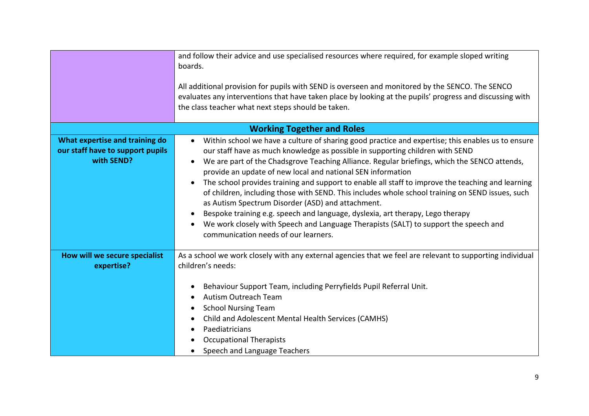|                                                                                  | and follow their advice and use specialised resources where required, for example sloped writing<br>boards.<br>All additional provision for pupils with SEND is overseen and monitored by the SENCO. The SENCO<br>evaluates any interventions that have taken place by looking at the pupils' progress and discussing with<br>the class teacher what next steps should be taken.                                                                                                                                                                                                                                                                                                                                                                                                                                                  |
|----------------------------------------------------------------------------------|-----------------------------------------------------------------------------------------------------------------------------------------------------------------------------------------------------------------------------------------------------------------------------------------------------------------------------------------------------------------------------------------------------------------------------------------------------------------------------------------------------------------------------------------------------------------------------------------------------------------------------------------------------------------------------------------------------------------------------------------------------------------------------------------------------------------------------------|
|                                                                                  | <b>Working Together and Roles</b>                                                                                                                                                                                                                                                                                                                                                                                                                                                                                                                                                                                                                                                                                                                                                                                                 |
| What expertise and training do<br>our staff have to support pupils<br>with SEND? | Within school we have a culture of sharing good practice and expertise; this enables us to ensure<br>our staff have as much knowledge as possible in supporting children with SEND<br>We are part of the Chadsgrove Teaching Alliance. Regular briefings, which the SENCO attends,<br>provide an update of new local and national SEN information<br>The school provides training and support to enable all staff to improve the teaching and learning<br>of children, including those with SEND. This includes whole school training on SEND issues, such<br>as Autism Spectrum Disorder (ASD) and attachment.<br>Bespoke training e.g. speech and language, dyslexia, art therapy, Lego therapy<br>We work closely with Speech and Language Therapists (SALT) to support the speech and<br>communication needs of our learners. |
| How will we secure specialist                                                    | As a school we work closely with any external agencies that we feel are relevant to supporting individual                                                                                                                                                                                                                                                                                                                                                                                                                                                                                                                                                                                                                                                                                                                         |
| expertise?                                                                       | children's needs:                                                                                                                                                                                                                                                                                                                                                                                                                                                                                                                                                                                                                                                                                                                                                                                                                 |
|                                                                                  | Behaviour Support Team, including Perryfields Pupil Referral Unit.<br><b>Autism Outreach Team</b><br><b>School Nursing Team</b><br>Child and Adolescent Mental Health Services (CAMHS)<br>Paediatricians<br><b>Occupational Therapists</b><br>Speech and Language Teachers                                                                                                                                                                                                                                                                                                                                                                                                                                                                                                                                                        |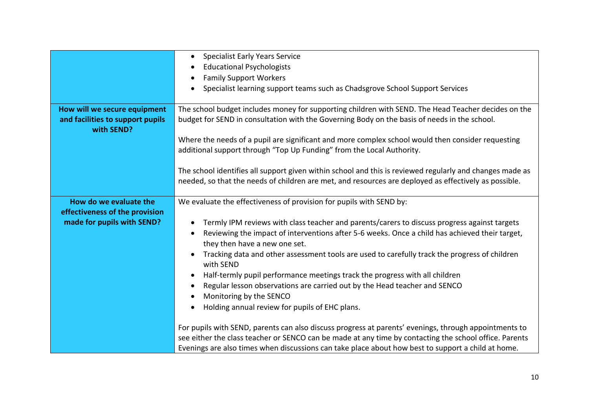|                                                                                | <b>Specialist Early Years Service</b><br>$\bullet$<br><b>Educational Psychologists</b><br>$\bullet$                                                                                                               |
|--------------------------------------------------------------------------------|-------------------------------------------------------------------------------------------------------------------------------------------------------------------------------------------------------------------|
|                                                                                | <b>Family Support Workers</b><br>$\bullet$                                                                                                                                                                        |
|                                                                                | Specialist learning support teams such as Chadsgrove School Support Services<br>$\bullet$                                                                                                                         |
| How will we secure equipment<br>and facilities to support pupils<br>with SEND? | The school budget includes money for supporting children with SEND. The Head Teacher decides on the<br>budget for SEND in consultation with the Governing Body on the basis of needs in the school.               |
|                                                                                | Where the needs of a pupil are significant and more complex school would then consider requesting<br>additional support through "Top Up Funding" from the Local Authority.                                        |
|                                                                                | The school identifies all support given within school and this is reviewed regularly and changes made as<br>needed, so that the needs of children are met, and resources are deployed as effectively as possible. |
| How do we evaluate the                                                         | We evaluate the effectiveness of provision for pupils with SEND by:                                                                                                                                               |
| effectiveness of the provision                                                 |                                                                                                                                                                                                                   |
| made for pupils with SEND?                                                     | Termly IPM reviews with class teacher and parents/carers to discuss progress against targets<br>$\bullet$                                                                                                         |
|                                                                                | Reviewing the impact of interventions after 5-6 weeks. Once a child has achieved their target,<br>$\bullet$<br>they then have a new one set.                                                                      |
|                                                                                | Tracking data and other assessment tools are used to carefully track the progress of children<br>$\bullet$<br>with SEND                                                                                           |
|                                                                                | Half-termly pupil performance meetings track the progress with all children<br>$\bullet$                                                                                                                          |
|                                                                                | Regular lesson observations are carried out by the Head teacher and SENCO<br>$\bullet$                                                                                                                            |
|                                                                                | Monitoring by the SENCO                                                                                                                                                                                           |
|                                                                                | Holding annual review for pupils of EHC plans.<br>$\bullet$                                                                                                                                                       |
|                                                                                | For pupils with SEND, parents can also discuss progress at parents' evenings, through appointments to                                                                                                             |
|                                                                                | see either the class teacher or SENCO can be made at any time by contacting the school office. Parents                                                                                                            |
|                                                                                | Evenings are also times when discussions can take place about how best to support a child at home.                                                                                                                |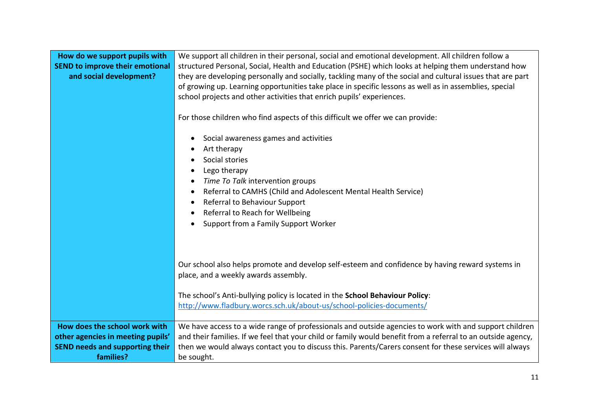| How do we support pupils with<br><b>SEND to improve their emotional</b><br>and social development?                        | We support all children in their personal, social and emotional development. All children follow a<br>structured Personal, Social, Health and Education (PSHE) which looks at helping them understand how<br>they are developing personally and socially, tackling many of the social and cultural issues that are part<br>of growing up. Learning opportunities take place in specific lessons as well as in assemblies, special<br>school projects and other activities that enrich pupils' experiences.<br>For those children who find aspects of this difficult we offer we can provide:<br>Social awareness games and activities<br>Art therapy<br>Social stories<br>Lego therapy<br>Time To Talk intervention groups<br>Referral to CAMHS (Child and Adolescent Mental Health Service)<br>Referral to Behaviour Support<br>Referral to Reach for Wellbeing<br>Support from a Family Support Worker |
|---------------------------------------------------------------------------------------------------------------------------|----------------------------------------------------------------------------------------------------------------------------------------------------------------------------------------------------------------------------------------------------------------------------------------------------------------------------------------------------------------------------------------------------------------------------------------------------------------------------------------------------------------------------------------------------------------------------------------------------------------------------------------------------------------------------------------------------------------------------------------------------------------------------------------------------------------------------------------------------------------------------------------------------------|
|                                                                                                                           | Our school also helps promote and develop self-esteem and confidence by having reward systems in<br>place, and a weekly awards assembly.<br>The school's Anti-bullying policy is located in the School Behaviour Policy:<br>http://www.fladbury.worcs.sch.uk/about-us/school-policies-documents/                                                                                                                                                                                                                                                                                                                                                                                                                                                                                                                                                                                                         |
| How does the school work with<br>other agencies in meeting pupils'<br><b>SEND needs and supporting their</b><br>families? | We have access to a wide range of professionals and outside agencies to work with and support children<br>and their families. If we feel that your child or family would benefit from a referral to an outside agency,<br>then we would always contact you to discuss this. Parents/Carers consent for these services will always<br>be sought.                                                                                                                                                                                                                                                                                                                                                                                                                                                                                                                                                          |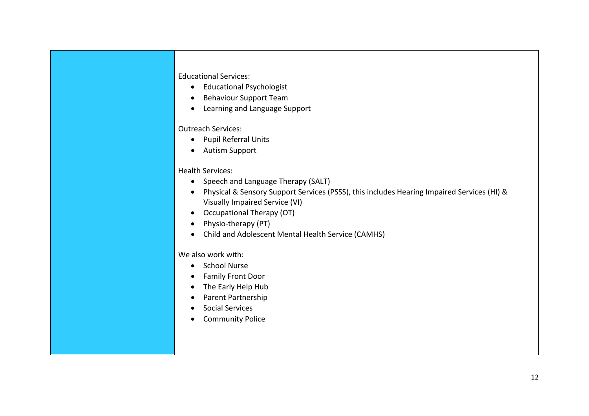## Educational Services:

- Educational Psychologist
- **•** Behaviour Support Team
- Learning and Language Support

## Outreach Services:

- Pupil Referral Units
- Autism Support

## Health Services:

- Speech and Language Therapy (SALT)
- Physical & Sensory Support Services (PSSS), this includes Hearing Impaired Services (HI) & Visually Impaired Service (VI)
- Occupational Therapy (OT)
- Physio-therapy (PT)
- Child and Adolescent Mental Health Service (CAMHS)

## We also work with:

- School Nurse
- Family Front Door
- The Early Help Hub
- Parent Partnership
- Social Services
- Community Police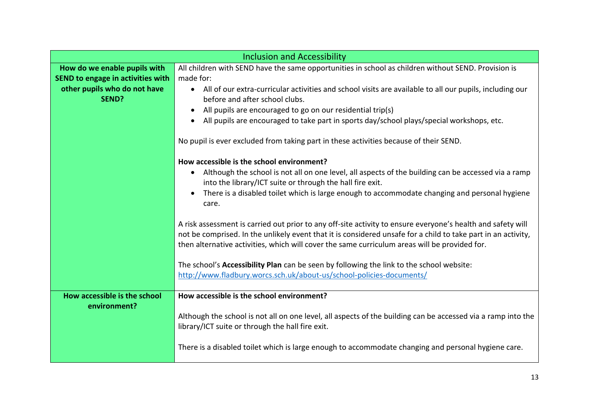|                                   | <b>Inclusion and Accessibility</b>                                                                                   |
|-----------------------------------|----------------------------------------------------------------------------------------------------------------------|
| How do we enable pupils with      | All children with SEND have the same opportunities in school as children without SEND. Provision is                  |
| SEND to engage in activities with | made for:                                                                                                            |
| other pupils who do not have      | All of our extra-curricular activities and school visits are available to all our pupils, including our<br>$\bullet$ |
| SEND?                             | before and after school clubs.                                                                                       |
|                                   | All pupils are encouraged to go on our residential trip(s)<br>$\bullet$                                              |
|                                   | All pupils are encouraged to take part in sports day/school plays/special workshops, etc.                            |
|                                   | No pupil is ever excluded from taking part in these activities because of their SEND.                                |
|                                   | How accessible is the school environment?                                                                            |
|                                   | Although the school is not all on one level, all aspects of the building can be accessed via a ramp                  |
|                                   | into the library/ICT suite or through the hall fire exit.                                                            |
|                                   | There is a disabled toilet which is large enough to accommodate changing and personal hygiene<br>$\bullet$<br>care.  |
|                                   | A risk assessment is carried out prior to any off-site activity to ensure everyone's health and safety will          |
|                                   | not be comprised. In the unlikely event that it is considered unsafe for a child to take part in an activity,        |
|                                   | then alternative activities, which will cover the same curriculum areas will be provided for.                        |
|                                   |                                                                                                                      |
|                                   | The school's Accessibility Plan can be seen by following the link to the school website:                             |
|                                   | http://www.fladbury.worcs.sch.uk/about-us/school-policies-documents/                                                 |
| How accessible is the school      | How accessible is the school environment?                                                                            |
| environment?                      |                                                                                                                      |
|                                   | Although the school is not all on one level, all aspects of the building can be accessed via a ramp into the         |
|                                   | library/ICT suite or through the hall fire exit.                                                                     |
|                                   |                                                                                                                      |
|                                   | There is a disabled toilet which is large enough to accommodate changing and personal hygiene care.                  |
|                                   |                                                                                                                      |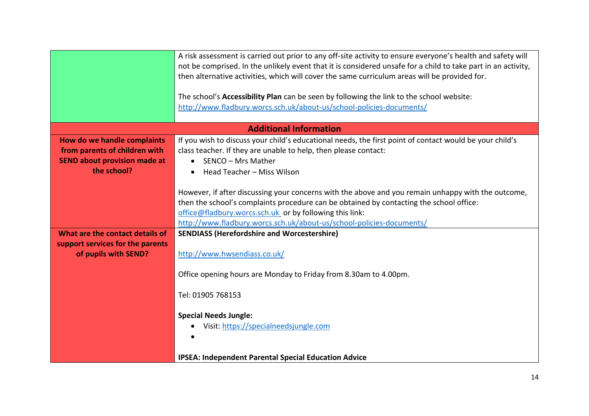|                                                                                                     | A risk assessment is carried out prior to any off-site activity to ensure everyone's health and safety will<br>not be comprised. In the unlikely event that it is considered unsafe for a child to take part in an activity,<br>then alternative activities, which will cover the same curriculum areas will be provided for.<br>The school's Accessibility Plan can be seen by following the link to the school website:<br>http://www.fladbury.worcs.sch.uk/about-us/school-policies-documents/ |
|-----------------------------------------------------------------------------------------------------|---------------------------------------------------------------------------------------------------------------------------------------------------------------------------------------------------------------------------------------------------------------------------------------------------------------------------------------------------------------------------------------------------------------------------------------------------------------------------------------------------|
|                                                                                                     | <b>Additional Information</b>                                                                                                                                                                                                                                                                                                                                                                                                                                                                     |
| How do we handle complaints<br>from parents of children with<br><b>SEND about provision made at</b> | If you wish to discuss your child's educational needs, the first point of contact would be your child's<br>class teacher. If they are unable to help, then please contact:<br>SENCO - Mrs Mather<br>$\bullet$                                                                                                                                                                                                                                                                                     |
| the school?                                                                                         | Head Teacher - Miss Wilson                                                                                                                                                                                                                                                                                                                                                                                                                                                                        |
|                                                                                                     | However, if after discussing your concerns with the above and you remain unhappy with the outcome,                                                                                                                                                                                                                                                                                                                                                                                                |
|                                                                                                     | then the school's complaints procedure can be obtained by contacting the school office:                                                                                                                                                                                                                                                                                                                                                                                                           |
|                                                                                                     | office@fladbury.worcs.sch.uk_or by following this link:                                                                                                                                                                                                                                                                                                                                                                                                                                           |
|                                                                                                     | http://www.fladbury.worcs.sch.uk/about-us/school-policies-documents/                                                                                                                                                                                                                                                                                                                                                                                                                              |
| What are the contact details of                                                                     | <b>SENDIASS (Herefordshire and Worcestershire)</b>                                                                                                                                                                                                                                                                                                                                                                                                                                                |
| support services for the parents<br>of pupils with SEND?                                            | http://www.hwsendiass.co.uk/                                                                                                                                                                                                                                                                                                                                                                                                                                                                      |
|                                                                                                     | Office opening hours are Monday to Friday from 8.30am to 4.00pm.                                                                                                                                                                                                                                                                                                                                                                                                                                  |
|                                                                                                     | Tel: 01905 768153                                                                                                                                                                                                                                                                                                                                                                                                                                                                                 |
|                                                                                                     | <b>Special Needs Jungle:</b>                                                                                                                                                                                                                                                                                                                                                                                                                                                                      |
|                                                                                                     | Visit: https://specialneedsjungle.com                                                                                                                                                                                                                                                                                                                                                                                                                                                             |
|                                                                                                     | <b>IPSEA: Independent Parental Special Education Advice</b>                                                                                                                                                                                                                                                                                                                                                                                                                                       |